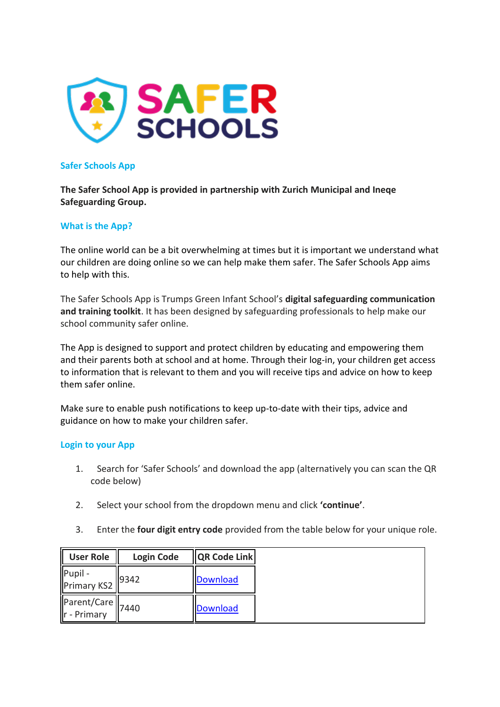

## **Safer Schools App**

**The Safer School App is provided in partnership with Zurich Municipal and Ineqe Safeguarding Group.**

## **What is the App?**

The online world can be a bit overwhelming at times but it is important we understand what our children are doing online so we can help make them safer. The Safer Schools App aims to help with this.

The Safer Schools App is Trumps Green Infant School's **digital safeguarding communication and training toolkit**. It has been designed by safeguarding professionals to help make our school community safer online.

The App is designed to support and protect children by educating and empowering them and their parents both at school and at home. Through their log-in, your children get access to information that is relevant to them and you will receive tips and advice on how to keep them safer online.

Make sure to enable push notifications to keep up-to-date with their tips, advice and guidance on how to make your children safer.

## **Login to your App**

- 1. Search for 'Safer Schools' and download the app (alternatively you can scan the QR code below)
- 2. Select your school from the dropdown menu and click **'continue'**.
- 3. Enter the **four digit entry code** provided from the table below for your unique role.

| <b>User Role</b>                                                                            | <b>Login Code</b> | <b>QR Code Link</b> |
|---------------------------------------------------------------------------------------------|-------------------|---------------------|
| Pupil - $\left \begin{array}{c} \text{Pupil} \\ \text{Primary KS2} \end{array}\right $ 9342 |                   | <b>Download</b>     |
| Parent/Care<br>r - Primary 7440                                                             |                   | <b>Download</b>     |